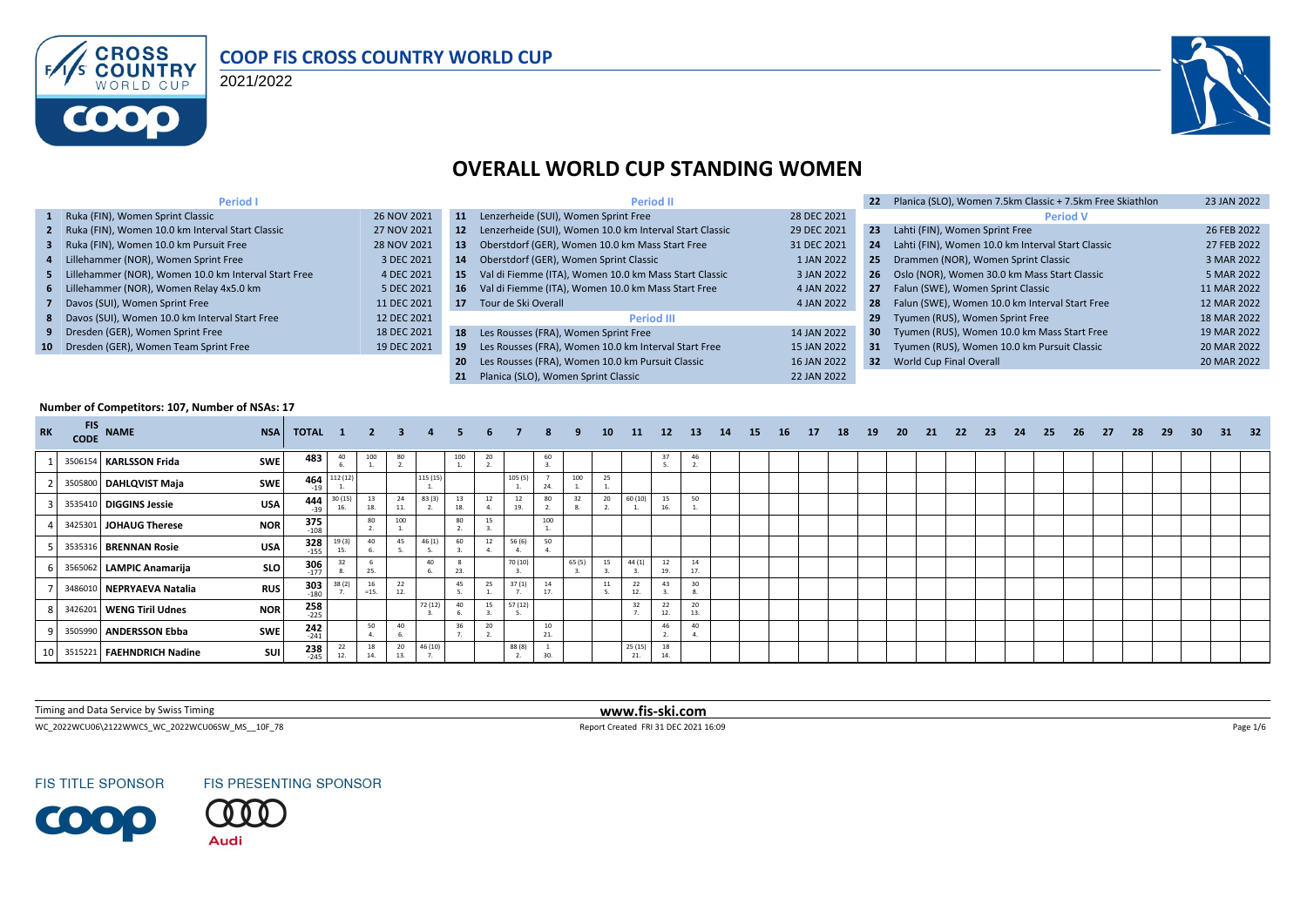

#### **COOP FIS CROSS COUNTRY WORLD CUP**

2021/2022



## **OVERALL WORLD CUP STANDING WOMEN**

| <b>Period I</b>                                        |             |           | <b>Period II</b>                                           |             |                 | Planica (SLO), Women 7.5km Classic + 7.5km Free Skiathlon | 23 JAN 2022 |
|--------------------------------------------------------|-------------|-----------|------------------------------------------------------------|-------------|-----------------|-----------------------------------------------------------|-------------|
| 1 Ruka (FIN), Women Sprint Classic                     | 26 NOV 2021 | 11        | Lenzerheide (SUI), Women Sprint Free                       | 28 DEC 2021 |                 | <b>Period V</b>                                           |             |
| 2 Ruka (FIN), Women 10.0 km Interval Start Classic     | 27 NOV 2021 |           | 12 Lenzerheide (SUI), Women 10.0 km Interval Start Classic | 29 DEC 2021 | 23              | Lahti (FIN), Women Sprint Free                            | 26 FEB 2022 |
| 3 Ruka (FIN), Women 10.0 km Pursuit Free               | 28 NOV 2021 | 13        | Oberstdorf (GER), Women 10.0 km Mass Start Free            | 31 DEC 2021 | 24              | Lahti (FIN), Women 10.0 km Interval Start Classic         | 27 FEB 2022 |
| 4 Lillehammer (NOR), Women Sprint Free                 | 3 DEC 2021  | 14        | Oberstdorf (GER), Women Sprint Classic                     | 1 JAN 2022  | 25              | Drammen (NOR), Women Sprint Classic                       | 3 MAR 2022  |
| 5 Lillehammer (NOR), Women 10.0 km Interval Start Free | 4 DEC 2021  | -15       | Val di Fiemme (ITA), Women 10.0 km Mass Start Classic      | 3 JAN 2022  |                 | 26 Oslo (NOR), Women 30.0 km Mass Start Classic           | 5 MAR 2022  |
| 6 Lillehammer (NOR), Women Relay 4x5.0 km              | 5 DEC 2021  |           | 16 Val di Fiemme (ITA), Women 10.0 km Mass Start Free      | 4 JAN 2022  | 27              | Falun (SWE), Women Sprint Classic                         | 11 MAR 2022 |
| 7 Davos (SUI), Women Sprint Free                       | 11 DEC 2021 | 17        | Tour de Ski Overall                                        | 4 JAN 2022  | 28              | Falun (SWE), Women 10.0 km Interval Start Free            | 12 MAR 2022 |
| 8 Davos (SUI), Women 10.0 km Interval Start Free       | 12 DEC 2021 |           | <b>Period III</b>                                          |             | 29              | Tyumen (RUS), Women Sprint Free                           | 18 MAR 2022 |
| 9 Dresden (GER), Women Sprint Free                     | 18 DEC 2021 |           | 18 Les Rousses (FRA), Women Sprint Free                    | 14 JAN 2022 | 30 <sub>2</sub> | Tyumen (RUS), Women 10.0 km Mass Start Free               | 19 MAR 2022 |
| 10 Dresden (GER), Women Team Sprint Free               | 19 DEC 2021 | -19       | Les Rousses (FRA), Women 10.0 km Interval Start Free       | 15 JAN 2022 |                 | 31 Tyumen (RUS), Women 10.0 km Pursuit Classic            | 20 MAR 2022 |
|                                                        |             | <b>20</b> | Les Rousses (FRA), Women 10.0 km Pursuit Classic           | 16 JAN 2022 |                 | 32 World Cup Final Overall                                | 20 MAR 2022 |
|                                                        |             |           | Planica (SLO). Women Sprint Classic                        | 22 JAN 2022 |                 |                                                           |             |

#### **Number of Competitors: 107, Number of NSAs: 17**

| <b>RK</b> | <b>FIS</b><br><b>CODE</b> | <b>NAME</b>                 | <b>NSA</b> | TOTAL 1              |                | $\overline{\mathbf{2}}$ | $\mathbf{3}$ |         |     |    |           |          |        | 10 | <b>11</b>           | 12        | <b>13</b> | 14 | <b>15</b> | <b>16</b> | 17 | 18 | 19 | 20 | 21 | 22 | - 23 | 24 | 25 | 26 | - 27 | 28 | 29 | 30 <sup>°</sup> | - 31 | - 32 |
|-----------|---------------------------|-----------------------------|------------|----------------------|----------------|-------------------------|--------------|---------|-----|----|-----------|----------|--------|----|---------------------|-----------|-----------|----|-----------|-----------|----|----|----|----|----|----|------|----|----|----|------|----|----|-----------------|------|------|
|           |                           | 3506154 KARLSSON Frida      | <b>SWE</b> | 483                  | 40             | 100                     | 80           |         | 100 | 20 |           | 60       |        |    |                     | 37        | 46        |    |           |           |    |    |    |    |    |    |      |    |    |    |      |    |    |                 |      |      |
|           |                           | 3505800 DAHLQVIST Maja      | <b>SWE</b> | 464<br>$-19$         | 112 (12)       |                         |              | 115 (15 |     |    | 105(5)    | 24       | 100    | 25 |                     |           |           |    |           |           |    |    |    |    |    |    |      |    |    |    |      |    |    |                 |      |      |
|           |                           | 3535410 DIGGINS Jessie      | <b>USA</b> | 444<br>$-39$         | 30 (15)<br>16. | 13<br>18.               | 24           | 83 (3)  | 18. |    | 12<br>19. | 80       |        | 20 | 60 (10)             | 15        | 50        |    |           |           |    |    |    |    |    |    |      |    |    |    |      |    |    |                 |      |      |
|           |                           | 3425301 JOHAUG Therese      | <b>NOR</b> | $375$<br>$108$       |                | 80                      | 100          |         | 80  | 15 |           | 100      |        |    |                     |           |           |    |           |           |    |    |    |    |    |    |      |    |    |    |      |    |    |                 |      |      |
|           |                           | 3535316 BRENNAN Rosie       | USA        | $328$<br>-155        | 19(2)<br>15.   | 40                      | 45           | 46(1)   | 60  | 12 | 56 (6)    | 50       |        |    |                     |           |           |    |           |           |    |    |    |    |    |    |      |    |    |    |      |    |    |                 |      |      |
|           |                           | 3565062 LAMPIC Anamarija    | <b>SLO</b> | $306$<br>$177$       |                | 25.                     |              | 40      |     |    | 70 (10)   |          | 65 (5) | 15 | 44(1)               | 12<br>19. | 14<br>17  |    |           |           |    |    |    |    |    |    |      |    |    |    |      |    |    |                 |      |      |
|           |                           | 3486010 NEPRYAEVA Natalia   | <b>RUS</b> | $303$ <sub>180</sub> |                | 16<br>$=15.$            | 22<br>12.    |         |     | 25 | 37(1)     | 14<br>17 |        | 11 | 22<br>12.           | 43        | 30        |    |           |           |    |    |    |    |    |    |      |    |    |    |      |    |    |                 |      |      |
|           |                           | 3426201 WENG Tiril Udnes    | <b>NOR</b> | $258$<br>-225        |                |                         |              | 72 (12) | 40  | 15 | 57 (12)   |          |        |    | 32                  | 22<br>12. | 20<br>13. |    |           |           |    |    |    |    |    |    |      |    |    |    |      |    |    |                 |      |      |
|           |                           | 3505990 ANDERSSON Ebba      | <b>SWE</b> | $242$<br>$-241$      |                | 50                      | 40           |         |     | 20 |           | 10<br>21 |        |    |                     | 46        | 40        |    |           |           |    |    |    |    |    |    |      |    |    |    |      |    |    |                 |      |      |
|           |                           | 3515221   FAEHNDRICH Nadine | <b>SUI</b> | 238<br>$-245$        | 12.            | 18<br>14.               | 20           | 46 (10) |     |    | 88 (8)    | 30.      |        |    | $\frac{25(15)}{21}$ | 18<br>14. |           |    |           |           |    |    |    |    |    |    |      |    |    |    |      |    |    |                 |      |      |

Timing and Data Service by Swiss Timing **www.fis-ski.com**

WC\_2022WCU06\2122WWCS\_WC\_2022WCU06SW\_MS\_\_10F\_78 Page 1/6 Report Created FRI 31 DEC 2021 16:09 Page 1/6 Page 1/6

**FIS TITLE SPONSOR** 



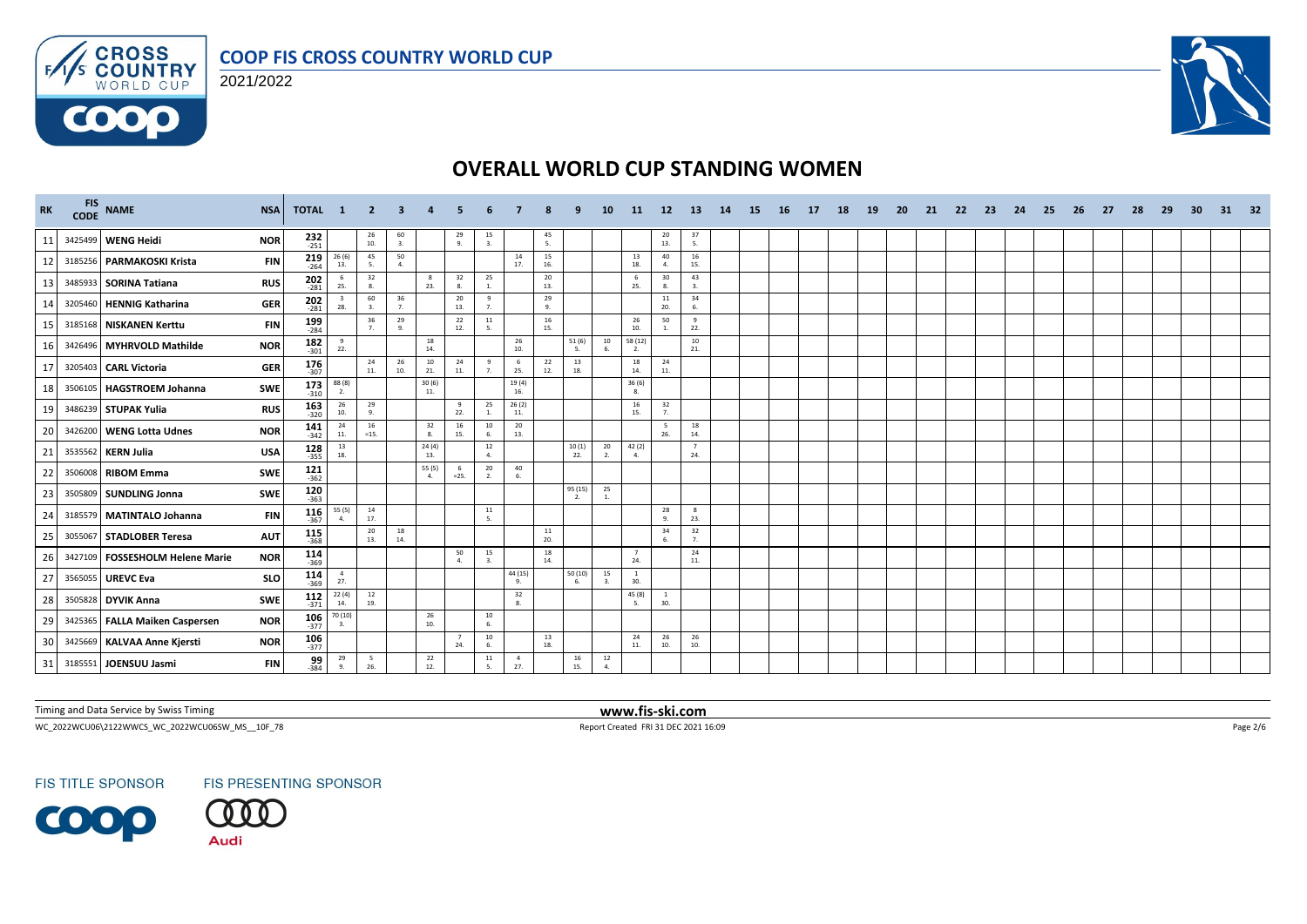



 $F/1/s$ 

6000



# **OVERALL WORLD CUP STANDING WOMEN**

| <b>RK</b> | <b>FIS</b><br><b>CODE</b> | <b>NAME</b>                     | <b>NSA</b> | TOTAL 1              |                                | - 2                                      | 3                                        |              |                       |                      |                        |                                          |               | 10                   | 11                    | -12                                     | -13                   | 14 | -15 | -16 | -17 | 18 | -19 | -20 | -21 | -22 | -23 | 24 | -25 | -26 | -27 | 28 | -29 | -30 | 31 | - 32 |
|-----------|---------------------------|---------------------------------|------------|----------------------|--------------------------------|------------------------------------------|------------------------------------------|--------------|-----------------------|----------------------|------------------------|------------------------------------------|---------------|----------------------|-----------------------|-----------------------------------------|-----------------------|----|-----|-----|-----|----|-----|-----|-----|-----|-----|----|-----|-----|-----|----|-----|-----|----|------|
| 11        |                           | 3425499 WENG Heidi              | <b>NOR</b> | $232$<br>$251$       |                                | $\begin{array}{c} 26 \\ 10. \end{array}$ | $\frac{60}{3}$                           |              | 29<br>9.              | $\frac{15}{3}$       |                        | $\frac{45}{5}$                           |               |                      |                       | $\begin{array}{c} 20 \\ 13 \end{array}$ | $\frac{37}{5}$        |    |     |     |     |    |     |     |     |     |     |    |     |     |     |    |     |     |    |      |
| 12        |                           | 3185256 PARMAKOSKI Krista       | <b>FIN</b> | $219$<br>$-264$      | 26 (6)<br>13.                  | 45<br>-5.                                | 50<br>4.                                 |              |                       |                      | 14<br>17.              | 15<br>16.                                |               |                      | 13<br>18.             | 40<br>$\overline{a}$                    | 16<br>15.             |    |     |     |     |    |     |     |     |     |     |    |     |     |     |    |     |     |    |      |
| 13        |                           | 3485933 SORINA Tatiana          | <b>RUS</b> | 202<br>$-281$        | 6<br>25.                       | 32<br>8.                                 |                                          | 8<br>23.     | 32<br>8.              | 25<br>$1$ .          |                        | 20<br>13.                                |               |                      | 6<br>25.              | 30<br>8.                                | 43<br>3.              |    |     |     |     |    |     |     |     |     |     |    |     |     |     |    |     |     |    |      |
| 14        | 3205460                   | HENNIG Katharina                | <b>GER</b> | $202$<br>$-281$      | $\overline{\mathbf{3}}$<br>28. | 60<br>$\mathbf{3}$                       | 36<br>7.                                 |              | 20<br>13.             | 9<br>7 <sub>1</sub>  |                        | 29<br>9.                                 |               |                      |                       | 11<br>20.                               | 34<br>6.              |    |     |     |     |    |     |     |     |     |     |    |     |     |     |    |     |     |    |      |
| 15        |                           | 3185168 NISKANEN Kerttu         | <b>FIN</b> | $199$<br>$-284$      |                                | 36<br>7 <sup>1</sup>                     | 29<br>9.                                 |              | 22<br>12.             | $11\,$<br>-5.        |                        | 16<br>15.                                |               |                      | 26<br>10.             | 50                                      | 9<br>22.              |    |     |     |     |    |     |     |     |     |     |    |     |     |     |    |     |     |    |      |
| 16        |                           | 3426496 MYHRVOLD Mathilde       | <b>NOR</b> | 182<br>$-301$        | 9<br>22.                       |                                          |                                          | 18<br>14.    |                       |                      | 26<br>10.              |                                          | 51 (6)<br>-5. | 10                   | 58 (12)<br>2.         |                                         | 10<br>21.             |    |     |     |     |    |     |     |     |     |     |    |     |     |     |    |     |     |    |      |
| 17        |                           | 3205403 CARL Victoria           | <b>GER</b> | 176<br>$-307$        |                                | 24<br>11.                                | $\begin{array}{c} 26 \\ 10. \end{array}$ | 10<br>21.    | 24<br>11.             | 9<br>$\overline{7}$  | 6<br>25.               | $\begin{array}{c} 22 \\ 12 \end{array}$  | 13<br>18.     |                      | 18<br>14.             | 24<br>11.                               |                       |    |     |     |     |    |     |     |     |     |     |    |     |     |     |    |     |     |    |      |
| 18        |                           | 3506105 HAGSTROEM Johanna       | <b>SWE</b> | 173<br>$-310$        | 88(8)<br>2.                    |                                          |                                          | 30(6)<br>11. |                       |                      | 19(4)<br>16.           |                                          |               |                      | 36(6)<br>8.           |                                         |                       |    |     |     |     |    |     |     |     |     |     |    |     |     |     |    |     |     |    |      |
| 19        |                           | 3486239 STUPAK Yulia            | <b>RUS</b> | $163$ <sub>320</sub> | 26<br>10.                      | 29<br>-9.                                |                                          |              | 9<br>22.              | 25<br>$\sim$         | 26(2)<br>11.           |                                          |               |                      | 16<br>15.             | 32<br>7.                                |                       |    |     |     |     |    |     |     |     |     |     |    |     |     |     |    |     |     |    |      |
| 20        |                           | 3426200 WENG Lotta Udnes        | <b>NOR</b> | $141$ <sub>342</sub> | 24<br>11.                      | 16<br>$=15.$                             |                                          | 32<br>8.     | 16<br>15.             | 10<br>-6.            | 20<br>13.              |                                          |               |                      |                       | -5<br>26.                               | 18<br>14.             |    |     |     |     |    |     |     |     |     |     |    |     |     |     |    |     |     |    |      |
| 21        |                           | 3535562 KERN Julia              | <b>USA</b> | $\frac{128}{355}$    | 13<br>18.                      |                                          |                                          | 24(4)<br>13. |                       | 12<br>4.             |                        |                                          | 10(1)<br>22.  | 20<br>2.             | 42 (2)<br>4.          |                                         | $\overline{7}$<br>24. |    |     |     |     |    |     |     |     |     |     |    |     |     |     |    |     |     |    |      |
| 22        |                           | 3506008 RIBOM Emma              | <b>SWE</b> | $121$ <sub>362</sub> |                                |                                          |                                          | 55 (5)<br>4. | - 6<br>$=25.$         | 20<br>2.             | 40<br>6.               |                                          |               |                      |                       |                                         |                       |    |     |     |     |    |     |     |     |     |     |    |     |     |     |    |     |     |    |      |
| 23        |                           | 3505809 SUNDLING Jonna          | SWE        | $120$<br>-363        |                                |                                          |                                          |              |                       |                      |                        |                                          | 95 (15)<br>2. | 25<br><b>1.</b>      |                       |                                         |                       |    |     |     |     |    |     |     |     |     |     |    |     |     |     |    |     |     |    |      |
| 24        |                           | 3185579 MATINTALO Johanna       | <b>FIN</b> | $116$ <sub>367</sub> | 55 (5)<br>$\overline{a}$       | 14<br>17.                                |                                          |              |                       | 11<br>5.             |                        |                                          |               |                      |                       | 28<br>9.                                | -8<br>23.             |    |     |     |     |    |     |     |     |     |     |    |     |     |     |    |     |     |    |      |
| 25        |                           | 3055067 STADLOBER Teresa        | <b>AUT</b> | 115<br>$-368$        |                                | 20<br>13.                                | 18<br>14.                                |              |                       |                      |                        | 11<br>20.                                |               |                      |                       | 34<br>6                                 | 32<br>7.              |    |     |     |     |    |     |     |     |     |     |    |     |     |     |    |     |     |    |      |
| 26        |                           | 3427109 FOSSESHOLM Helene Marie | <b>NOR</b> | 114<br>$-369$        |                                |                                          |                                          |              | 50<br>$\Delta$        | 15<br>$\overline{a}$ |                        | $\begin{array}{c} 18 \\ 14. \end{array}$ |               |                      | $\overline{7}$<br>24. |                                         | 24<br>11.             |    |     |     |     |    |     |     |     |     |     |    |     |     |     |    |     |     |    |      |
| 27        |                           | 3565055 UREVC Eva               | <b>SLO</b> | $114$<br>$-369$      | $\frac{4}{27}$                 |                                          |                                          |              |                       |                      | 44 (15)<br>$Q_{\perp}$ |                                          | 50(10)<br>-6  | 15<br>$\mathbf{3}$   | $\overline{1}$<br>30. |                                         |                       |    |     |     |     |    |     |     |     |     |     |    |     |     |     |    |     |     |    |      |
| 28        |                           | 3505828 DYVIK Anna              | <b>SWE</b> | $112$<br>$-371$      | 22(4)<br>14.                   | 12<br>19.                                |                                          |              |                       |                      | 32<br>8.               |                                          |               |                      | 45 (8)                | -1<br>30.                               |                       |    |     |     |     |    |     |     |     |     |     |    |     |     |     |    |     |     |    |      |
| 29        |                           | 3425365 FALLA Maiken Caspersen  | <b>NOR</b> | $106 - 377$          | 70 (10)<br>3.                  |                                          |                                          | 26<br>10.    |                       | 10<br>6.             |                        |                                          |               |                      |                       |                                         |                       |    |     |     |     |    |     |     |     |     |     |    |     |     |     |    |     |     |    |      |
| 30        |                           | 3425669 KALVAA Anne Kjersti     | <b>NOR</b> | $106$ <sub>377</sub> |                                |                                          |                                          |              | $\overline{7}$<br>24. | 10                   |                        | 13<br>18.                                |               |                      | 24<br>11.             | 26<br>10.                               | 26<br>10.             |    |     |     |     |    |     |     |     |     |     |    |     |     |     |    |     |     |    |      |
| 31        |                           | 3185551 JOENSUU Jasmi           | <b>FIN</b> | 99<br>$-384$         | 29<br>9.                       | 5<br>26.                                 |                                          | 22<br>12.    |                       | 11<br>5.             | $\overline{4}$<br>27.  |                                          | 16<br>15.     | 12<br>$\overline{4}$ |                       |                                         |                       |    |     |     |     |    |     |     |     |     |     |    |     |     |     |    |     |     |    |      |

Timing and Data Service by Swiss Timing **www.fis-ski.com**

 $\textsf{WC\_2022WCUO6}\backslash 2122\textsf{WWC\_0222WCUO65W\_MS\_10F\_78} \qquad \qquad \textsf{Page 2/6}$ 

**FIS TITLE SPONSOR** 

FIS PRESENTING SPONSOR

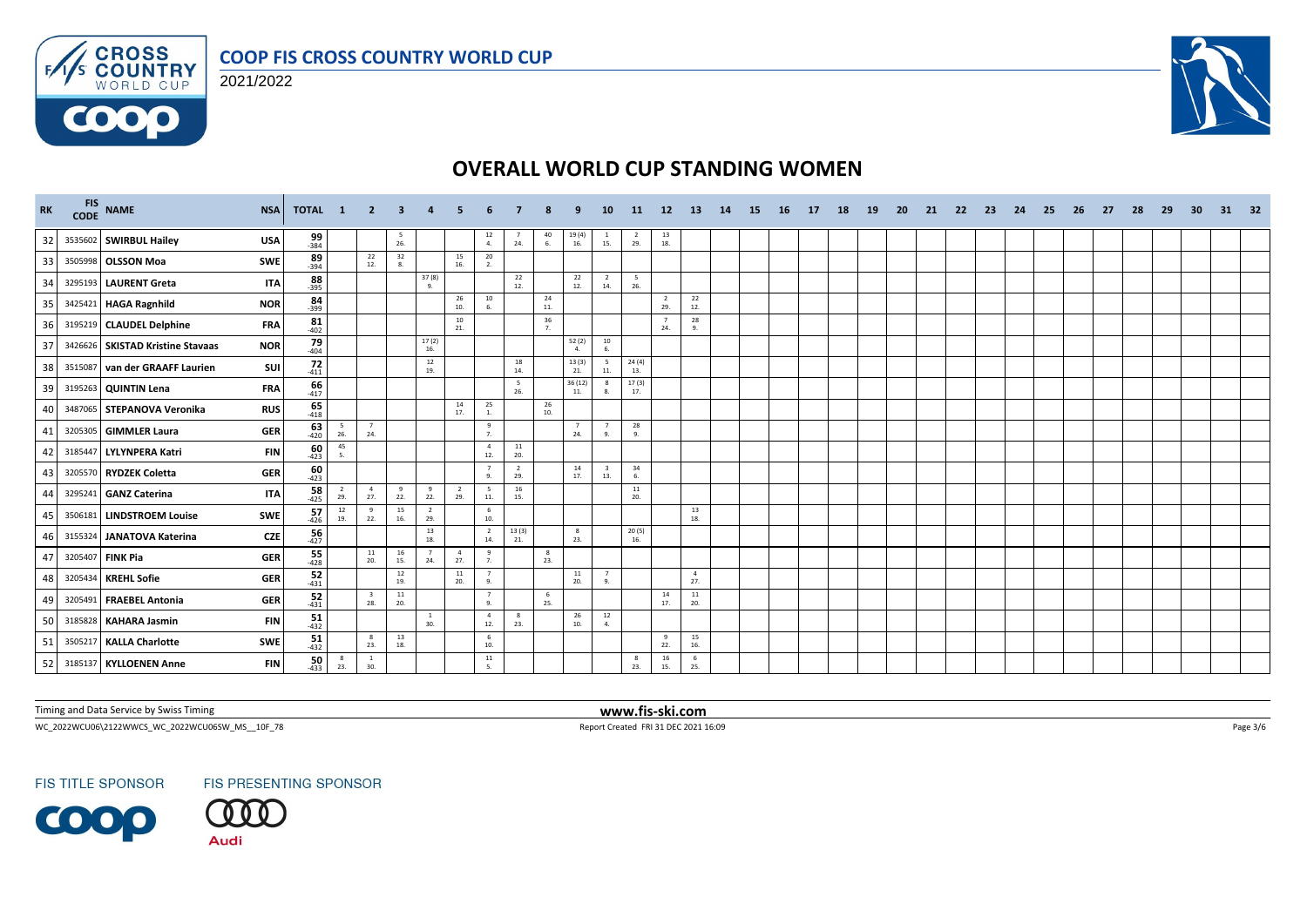



 $F/1/s$ 

6000



# **OVERALL WORLD CUP STANDING WOMEN**

| RK | CODE    | FIS NAME                         | <b>NSA</b><br><b>TOTAL</b>     | $\mathbf{1}$          | $\overline{2}$                 | -3             |                       |                       |                               |                |                                         |                         | <b>10</b>                      | 11                                       | 12 <sup>2</sup>       | <b>13</b>                                | 14 | <b>15</b> | <b>16</b> | 17 | 18 | <b>19</b> | <b>20</b> | 21 | -22 | 23 | 24 | 25 | 26 | 27 | 28 | 29 | 30 | 31 | 32 |
|----|---------|----------------------------------|--------------------------------|-----------------------|--------------------------------|----------------|-----------------------|-----------------------|-------------------------------|----------------|-----------------------------------------|-------------------------|--------------------------------|------------------------------------------|-----------------------|------------------------------------------|----|-----------|-----------|----|----|-----------|-----------|----|-----|----|----|----|----|----|----|----|----|----|----|
| 32 |         | 3535602 SWIRBUL Hailey           | $\frac{99}{384}$<br><b>USA</b> |                       |                                | $\frac{5}{26}$ |                       |                       | $\frac{12}{4}$                | $\frac{7}{24}$ | $\begin{array}{c} 40 \\ 6. \end{array}$ | 19 (4)<br>16.           | $\frac{1}{15}$ .               | $\frac{2}{29}$ .                         | 13<br>18.             |                                          |    |           |           |    |    |           |           |    |     |    |    |    |    |    |    |    |    |    |    |
| 33 |         | 3505998 OLSSON Moa               | $89 - 394$<br><b>SWE</b>       |                       | 22<br>12.                      | 32<br>8.       |                       | 15<br>16.             | $20\degree$<br>2.             |                |                                         |                         |                                |                                          |                       |                                          |    |           |           |    |    |           |           |    |     |    |    |    |    |    |    |    |    |    |    |
| 34 |         | 3295193 LAURENT Greta            | 88<br><b>ITA</b><br>$-395$     |                       |                                |                | 37 (8)<br>9.          |                       |                               | 22<br>12.      |                                         | 22<br>12.               | $\overline{2}$<br>14.          | $5\overline{5}$<br>26.                   |                       |                                          |    |           |           |    |    |           |           |    |     |    |    |    |    |    |    |    |    |    |    |
| 35 |         | 3425421 HAGA Ragnhild            | 84<br><b>NOR</b><br>$-399$     |                       |                                |                |                       | 26<br>10.             | $10\,$<br>6.                  |                | 24<br>11.                               |                         |                                |                                          | $\overline{2}$<br>29. | $\begin{array}{c} 22 \\ 12. \end{array}$ |    |           |           |    |    |           |           |    |     |    |    |    |    |    |    |    |    |    |    |
| 36 |         | 3195219 CLAUDEL Delphine         | $81 - 402$<br><b>FRA</b>       |                       |                                |                |                       | 10<br>21.             |                               |                | 36<br>7.                                |                         |                                |                                          | 24.                   | 28<br>9.                                 |    |           |           |    |    |           |           |    |     |    |    |    |    |    |    |    |    |    |    |
| 37 |         | 3426626 SKISTAD Kristine Stavaas | $\frac{79}{404}$<br><b>NOR</b> |                       |                                |                | 17(2)<br>16.          |                       |                               |                |                                         | 52(2)<br>$\overline{a}$ | 10<br>6.                       |                                          |                       |                                          |    |           |           |    |    |           |           |    |     |    |    |    |    |    |    |    |    |    |    |
| 38 | 3515087 | van der GRAAFF Laurien           | 72<br>SUI<br>$-411$            |                       |                                |                | 12<br>19.             |                       |                               | 18<br>14.      |                                         | 13(3)<br>21.            | 5<br>11.                       | $\frac{24(4)}{13}$                       |                       |                                          |    |           |           |    |    |           |           |    |     |    |    |    |    |    |    |    |    |    |    |
| 39 |         | 3195263 QUINTIN Lena             | 66<br><b>FRA</b><br>$-417$     |                       |                                |                |                       |                       |                               | 5<br>26.       |                                         | 36(12)<br>11.           | $_{\rm 8}$<br>8.               | 17(3)<br>17.                             |                       |                                          |    |           |           |    |    |           |           |    |     |    |    |    |    |    |    |    |    |    |    |
| 40 |         | 3487065 STEPANOVA Veronika       | $65$<br>$418$<br><b>RUS</b>    |                       |                                |                |                       | 14<br>17.             | 25<br>1.                      |                | 26<br>10.                               |                         |                                |                                          |                       |                                          |    |           |           |    |    |           |           |    |     |    |    |    |    |    |    |    |    |    |    |
| 41 |         | 3205305 GIMMLER Laura            | $63$<br>$420$<br><b>GER</b>    | $\sqrt{5}$<br>26.     | 7<br>24.                       |                |                       |                       | 9<br>7.                       |                |                                         | $\overline{7}$<br>24.   | $\overline{7}$<br>9.           | 28<br>9.                                 |                       |                                          |    |           |           |    |    |           |           |    |     |    |    |    |    |    |    |    |    |    |    |
| 42 |         | 3185447 LYLYNPERA Katri          | $\frac{60}{423}$<br><b>FIN</b> | 45<br>5.              |                                |                |                       |                       | $\overline{4}$<br>12.         | 11<br>20.      |                                         |                         |                                |                                          |                       |                                          |    |           |           |    |    |           |           |    |     |    |    |    |    |    |    |    |    |    |    |
| 43 |         | 3205570 RYDZEK Coletta           | $\frac{60}{423}$<br><b>GER</b> |                       |                                |                |                       |                       | $\overline{7}$<br>9.          | 2<br>29.       |                                         | 14<br>17.               | $\overline{\mathbf{3}}$<br>13. | 34<br>6.                                 |                       |                                          |    |           |           |    |    |           |           |    |     |    |    |    |    |    |    |    |    |    |    |
| 44 |         | 3295241 GANZ Caterina            | $58 - 425$<br><b>ITA</b>       | $\overline{2}$<br>29. | $\overline{4}$<br>27.          | 9<br>22.       | $\mathbf{q}$<br>22.   | $\overline{2}$<br>29. | $5\overline{5}$<br>$11.$      | 16<br>15.      |                                         |                         |                                | $\begin{array}{c} 11 \\ 20. \end{array}$ |                       |                                          |    |           |           |    |    |           |           |    |     |    |    |    |    |    |    |    |    |    |    |
| 45 |         | 3506181 LINDSTROEM Louise        | $57 - 426$<br>SWE              | 12<br>19.             | - 9<br>22.                     | 15<br>16.      | $\overline{2}$<br>29. |                       | 6<br>10.                      |                |                                         |                         |                                |                                          |                       | 13<br>18.                                |    |           |           |    |    |           |           |    |     |    |    |    |    |    |    |    |    |    |    |
| 46 |         | 3155324 JANATOVA Katerina        | 56<br><b>CZE</b><br>$-427$     |                       |                                |                | 13<br>18.             |                       | $\overline{2}$<br>14.         | 13(3)<br>21.   |                                         | $_{\rm 8}$<br>23.       |                                | 20(5)<br>16.                             |                       |                                          |    |           |           |    |    |           |           |    |     |    |    |    |    |    |    |    |    |    |    |
| 47 |         | 3205407 FINK Pia                 | $\frac{55}{428}$<br><b>GER</b> |                       | 11<br>20.                      | 16<br>15.      | $\overline{7}$<br>24. | $\overline{4}$<br>27. | 9<br>7.                       |                | 8<br>23.                                |                         |                                |                                          |                       |                                          |    |           |           |    |    |           |           |    |     |    |    |    |    |    |    |    |    |    |    |
| 48 |         | 3205434 KREHL Sofie              | $\frac{52}{431}$<br><b>GER</b> |                       |                                | 12<br>19.      |                       | 11<br>20.             | $\overline{7}$<br>9.          |                |                                         | 11<br>20.               | $\overline{7}$<br>9.           |                                          |                       | $\overline{4}$<br>27.                    |    |           |           |    |    |           |           |    |     |    |    |    |    |    |    |    |    |    |    |
| 49 |         | 3205491 FRAEBEL Antonia          | $\frac{52}{431}$<br><b>GER</b> |                       | $\overline{\mathbf{3}}$<br>28. | 11<br>20.      |                       |                       | $\overline{7}$<br>$Q_{\perp}$ |                | 6<br>25.                                |                         |                                |                                          | 14<br>17.             | 11<br>20.                                |    |           |           |    |    |           |           |    |     |    |    |    |    |    |    |    |    |    |    |
| 50 | 3185828 | KAHARA Jasmin                    | $\frac{51}{432}$<br><b>FIN</b> |                       |                                |                | <sup>1</sup><br>30.   |                       | $\overline{4}$<br>12.         | 8<br>23.       |                                         | 26<br>10.               | 12<br>4.                       |                                          |                       |                                          |    |           |           |    |    |           |           |    |     |    |    |    |    |    |    |    |    |    |    |
| 51 |         | 3505217 KALLA Charlotte          | $\frac{51}{432}$<br>SWE        |                       | $_{\rm 8}$<br>23.              | 13<br>18.      |                       |                       | 6<br>10.                      |                |                                         |                         |                                |                                          | -9<br>22.             | 15<br>16.                                |    |           |           |    |    |           |           |    |     |    |    |    |    |    |    |    |    |    |    |
| 52 |         | 3185137 KYLLOENEN Anne           | 50<br><b>FIN</b><br>$-433$     | $_{\rm 8}$<br>23.     | $\mathbf{1}$<br>30.            |                |                       |                       | 11<br>5.                      |                |                                         |                         |                                | 8<br>23.                                 | 16<br>15.             | - 6<br>25.                               |    |           |           |    |    |           |           |    |     |    |    |    |    |    |    |    |    |    |    |

Timing and Data Service by Swiss Timing **www.fis-ski.com**

 $\textsf{WC\_2022WCUO6}\backslash 2122\textsf{WWC\_0222WCUO65W\_MS\_10F\_78} \qquad \qquad \textsf{Page 3/6}$ 

**FIS TITLE SPONSOR** 

FIS PRESENTING SPONSOR

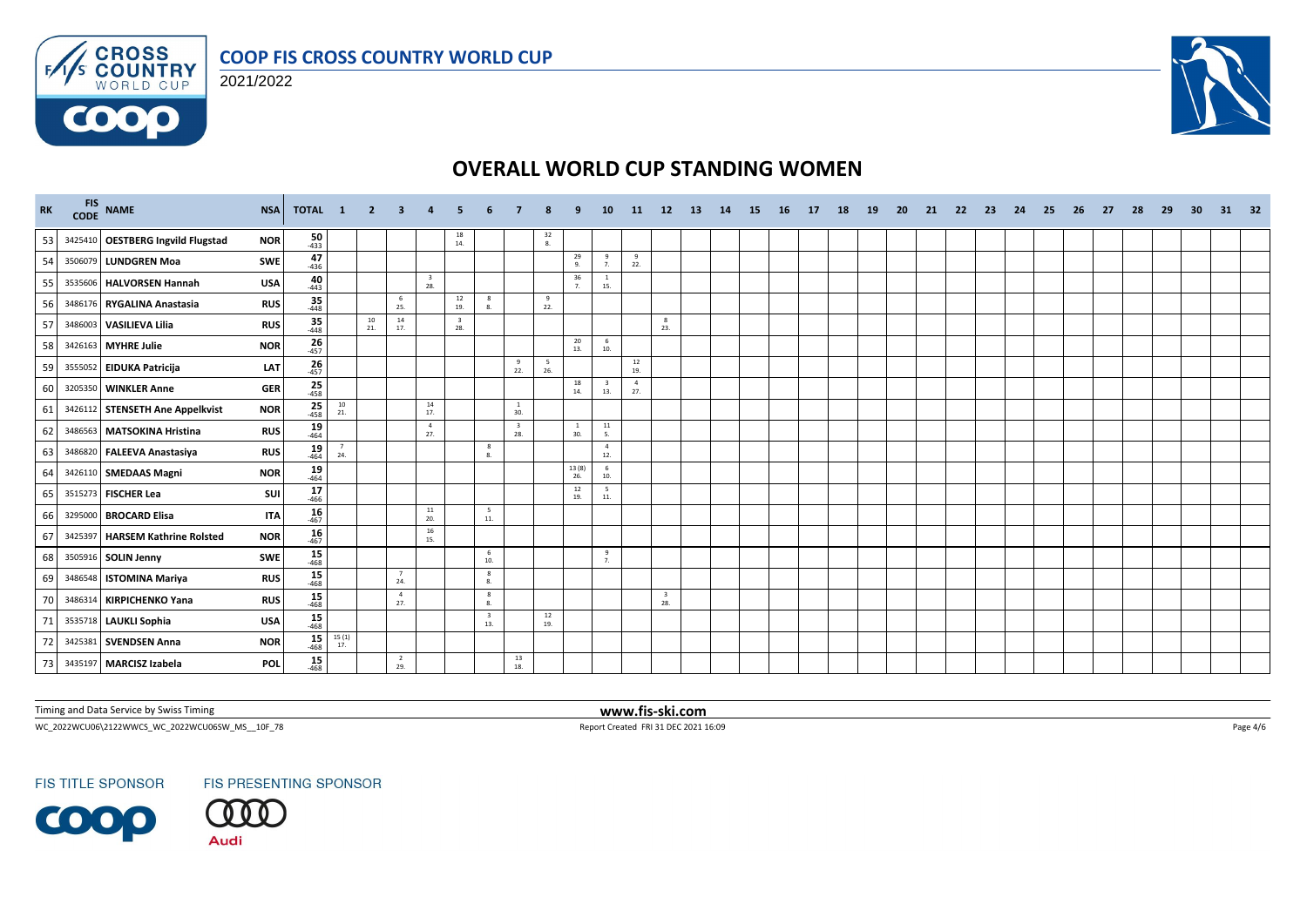

**COOO** 



# **OVERALL WORLD CUP STANDING WOMEN**

| <b>RK</b> | FIS NAME                          | <b>NSA</b> | TOTAL 1                                                                                                        |                                          | $\overline{2}$ | 3.                    |                                |                     |                                |                                |                                         |                     | 10                                      | 11                                       | <b>12</b>                      | <b>13</b> | 14 | <b>15</b> | - 16 | 17 | 18 | <b>19</b> | -20 | -21 | -22 | -23 | -24 | -25 | 26 | 27 | -28 | -29 | -30 | 31 | 32 |
|-----------|-----------------------------------|------------|----------------------------------------------------------------------------------------------------------------|------------------------------------------|----------------|-----------------------|--------------------------------|---------------------|--------------------------------|--------------------------------|-----------------------------------------|---------------------|-----------------------------------------|------------------------------------------|--------------------------------|-----------|----|-----------|------|----|----|-----------|-----|-----|-----|-----|-----|-----|----|----|-----|-----|-----|----|----|
| 53        | 3425410 OESTBERG Ingvild Flugstad | <b>NOR</b> | $\frac{50}{433}$                                                                                               |                                          |                |                       |                                | 18<br>14.           |                                |                                | $\begin{array}{c} 32 \\ 8. \end{array}$ |                     |                                         |                                          |                                |           |    |           |      |    |    |           |     |     |     |     |     |     |    |    |     |     |     |    |    |
| 54        | 3506079 LUNDGREN Moa              | <b>SWE</b> | 47<br>$-436$                                                                                                   |                                          |                |                       |                                |                     |                                |                                |                                         | 29<br>9.            | $\overline{9}$<br>7.                    | 9<br>22.                                 |                                |           |    |           |      |    |    |           |     |     |     |     |     |     |    |    |     |     |     |    |    |
| 55        | 3535606 HALVORSEN Hannah          | <b>USA</b> | 40<br>$-443$                                                                                                   |                                          |                |                       | $\overline{\mathbf{3}}$<br>28. |                     |                                |                                |                                         | 36<br>7.            | <sup>1</sup><br>15.                     |                                          |                                |           |    |           |      |    |    |           |     |     |     |     |     |     |    |    |     |     |     |    |    |
| 56        | 3486176 RYGALINA Anastasia        | <b>RUS</b> | 35<br>$-448$                                                                                                   |                                          |                | 6<br>25.              |                                | 12<br>19.           | 8<br>8.                        |                                | 9<br>22.                                |                     |                                         |                                          |                                |           |    |           |      |    |    |           |     |     |     |     |     |     |    |    |     |     |     |    |    |
| 57        | 3486003 VASILIEVA Lilia           | <b>RUS</b> | $\frac{35}{448}$                                                                                               |                                          | 10<br>21.      | 14<br>17.             |                                | $\mathbf{3}$<br>28. |                                |                                |                                         |                     |                                         |                                          | 8<br>23.                       |           |    |           |      |    |    |           |     |     |     |     |     |     |    |    |     |     |     |    |    |
| 58        | 3426163 MYHRE Julie               | <b>NOR</b> | $26$ <sub>457</sub>                                                                                            |                                          |                |                       |                                |                     |                                |                                |                                         | 20<br>13.           | 6<br>10.                                |                                          |                                |           |    |           |      |    |    |           |     |     |     |     |     |     |    |    |     |     |     |    |    |
| 59        | 3555052 EIDUKA Patricija          | LAT        | 26<br>$-457$                                                                                                   |                                          |                |                       |                                |                     |                                | 9<br>22.                       | -5<br>26.                               |                     |                                         | $\begin{array}{c} 12 \\ 19. \end{array}$ |                                |           |    |           |      |    |    |           |     |     |     |     |     |     |    |    |     |     |     |    |    |
| 60        | 3205350 WINKLER Anne              | <b>GER</b> | $\frac{25}{458}$                                                                                               |                                          |                |                       |                                |                     |                                |                                |                                         | 18<br>14.           | $\overline{\mathbf{3}}$<br>13.          | $\overline{4}$<br>27.                    |                                |           |    |           |      |    |    |           |     |     |     |     |     |     |    |    |     |     |     |    |    |
| 61        | 3426112 STENSETH Ane Appelkvist   | <b>NOR</b> | $\frac{25}{458}$                                                                                               | $\begin{array}{c} 10 \\ 21. \end{array}$ |                |                       | 14<br>17.                      |                     |                                | <sup>1</sup><br>30.            |                                         |                     |                                         |                                          |                                |           |    |           |      |    |    |           |     |     |     |     |     |     |    |    |     |     |     |    |    |
| 62        | 3486563 MATSOKINA Hristina        | <b>RUS</b> | $19 \atop -464$                                                                                                |                                          |                |                       | $\overline{4}$<br>27.          |                     |                                | $\overline{\mathbf{3}}$<br>28. |                                         | <sup>1</sup><br>30. | $\begin{array}{c} 11 \\ 5. \end{array}$ |                                          |                                |           |    |           |      |    |    |           |     |     |     |     |     |     |    |    |     |     |     |    |    |
| 63        | 3486820 FALEEVA Anastasiya        | <b>RUS</b> | $\frac{19}{464}$                                                                                               | 24.                                      |                |                       |                                |                     | 8<br>8.                        |                                |                                         |                     | $\overline{4}$<br>12.                   |                                          |                                |           |    |           |      |    |    |           |     |     |     |     |     |     |    |    |     |     |     |    |    |
| 64        | 3426110 SMEDAAS Magni             | <b>NOR</b> | $19 - 464$                                                                                                     |                                          |                |                       |                                |                     |                                |                                |                                         | 13(8)<br>26.        | 6<br>10.                                |                                          |                                |           |    |           |      |    |    |           |     |     |     |     |     |     |    |    |     |     |     |    |    |
| 65        | 3515273 FISCHER Lea               | sui        | $\frac{17}{466}$                                                                                               |                                          |                |                       |                                |                     |                                |                                |                                         | 12<br>19.           | 5<br>11.                                |                                          |                                |           |    |           |      |    |    |           |     |     |     |     |     |     |    |    |     |     |     |    |    |
| 66        | 3295000 BROCARD Elisa             | <b>ITA</b> | $16 \over 467$                                                                                                 |                                          |                |                       | 11<br>20.                      |                     | - 5<br>11.                     |                                |                                         |                     |                                         |                                          |                                |           |    |           |      |    |    |           |     |     |     |     |     |     |    |    |     |     |     |    |    |
| 67        | 3425397 HARSEM Kathrine Rolsted   | <b>NOR</b> | 16<br>$-467$                                                                                                   |                                          |                |                       | 16<br>15.                      |                     |                                |                                |                                         |                     |                                         |                                          |                                |           |    |           |      |    |    |           |     |     |     |     |     |     |    |    |     |     |     |    |    |
| 68        | 3505916 SOLIN Jenny               | <b>SWE</b> | $15 - 468$                                                                                                     |                                          |                |                       |                                |                     | 6<br>10.                       |                                |                                         |                     | 9<br>7.                                 |                                          |                                |           |    |           |      |    |    |           |     |     |     |     |     |     |    |    |     |     |     |    |    |
| 69        | 3486548 ISTOMINA Mariya           | <b>RUS</b> | $15 \over 468$                                                                                                 |                                          |                | $\overline{7}$<br>24. |                                |                     | 8<br>8.                        |                                |                                         |                     |                                         |                                          |                                |           |    |           |      |    |    |           |     |     |     |     |     |     |    |    |     |     |     |    |    |
|           | 3486314 KIRPICHENKO Yana          | <b>RUS</b> | $\frac{15}{468}$                                                                                               |                                          |                | $\overline{4}$<br>27. |                                |                     | 8<br>8.                        |                                |                                         |                     |                                         |                                          | $\overline{\mathbf{3}}$<br>28. |           |    |           |      |    |    |           |     |     |     |     |     |     |    |    |     |     |     |    |    |
| 71        | 3535718 LAUKLI Sophia             | <b>USA</b> | $\frac{15}{468}$                                                                                               |                                          |                |                       |                                |                     | $\overline{\mathbf{3}}$<br>13. |                                | 12<br>19.                               |                     |                                         |                                          |                                |           |    |           |      |    |    |           |     |     |     |     |     |     |    |    |     |     |     |    |    |
| -72       | 3425381 SVENDSEN Anna             | <b>NOR</b> | $\begin{array}{ c c } \hline \textbf{15} & \textbf{15 (1)} \\ \hline 468 & \textbf{17}. \\ \hline \end{array}$ |                                          |                |                       |                                |                     |                                |                                |                                         |                     |                                         |                                          |                                |           |    |           |      |    |    |           |     |     |     |     |     |     |    |    |     |     |     |    |    |
| 73        | 3435197 MARCISZ Izabela           | POL        | $15 - 468$                                                                                                     |                                          |                | 2<br>29.              |                                |                     |                                | 13<br>18.                      |                                         |                     |                                         |                                          |                                |           |    |           |      |    |    |           |     |     |     |     |     |     |    |    |     |     |     |    |    |

Timing and Data Service by Swiss Timing **www.fis-ski.com**

 $\textsf{WC\_2022WCUO6}\backslash 2122\textsf{WWCS\_WC\_2022WCUO65W\_MS\_10F\_78} \qquad \qquad \textsf{Page 4/6}$ 

**FIS TITLE SPONSOR** 



**Audi**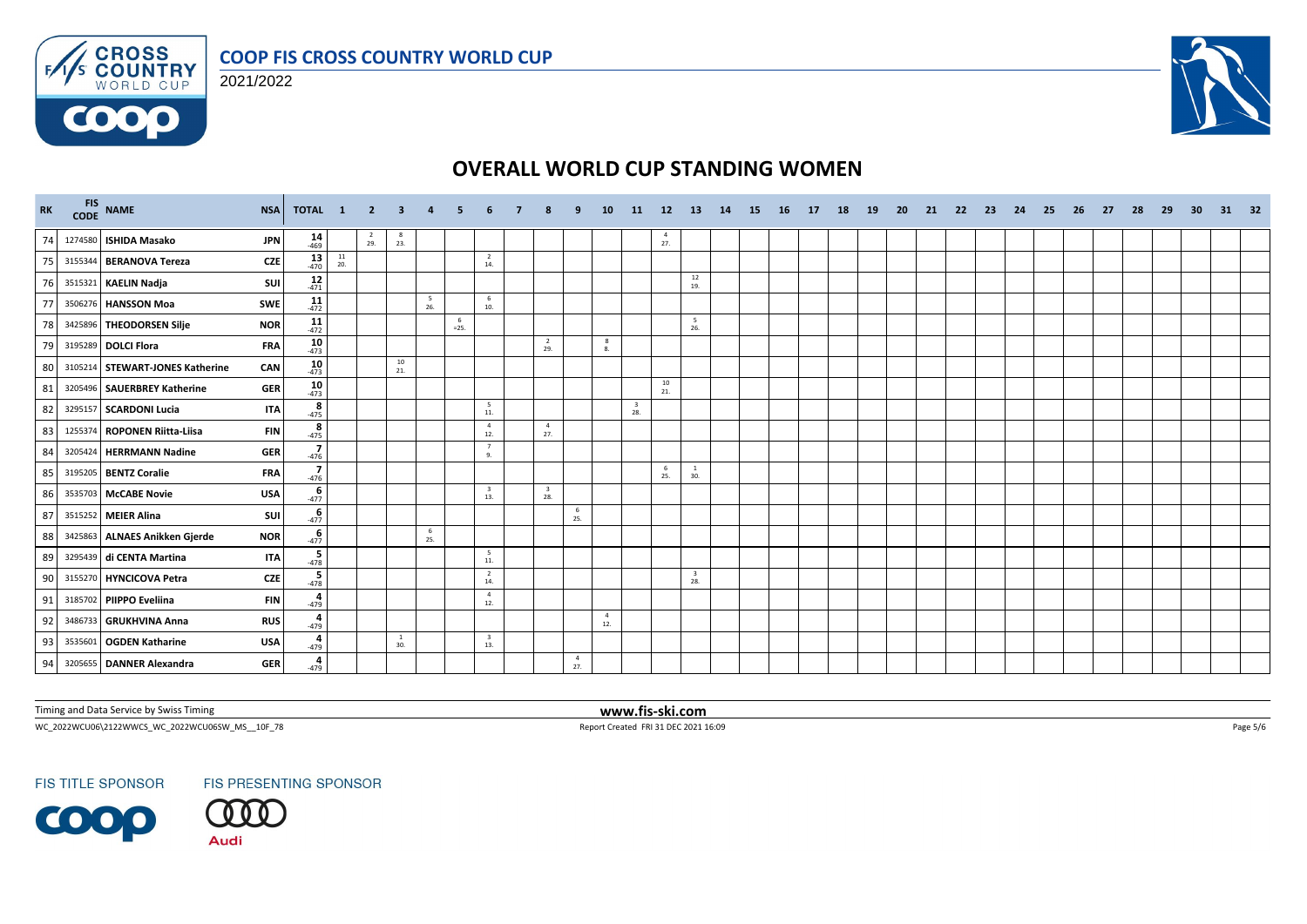





# **OVERALL WORLD CUP STANDING WOMEN**

| RK | FIS NAME                        | <b>NSA</b> | TOTAL 1              |           | $\overline{2}$   | 3         |          |               |                                |                                |                       | 10                    | -11                            | 12                    | <b>13</b>                      | 14 | <b>15</b> | <b>16</b> | <b>17</b> | 18 | <b>19</b> | -20 | -21 | -22 | -23 | 24 | -25 | 26 | -27 | - 28 | -29 | -30 | 31 | 32 |
|----|---------------------------------|------------|----------------------|-----------|------------------|-----------|----------|---------------|--------------------------------|--------------------------------|-----------------------|-----------------------|--------------------------------|-----------------------|--------------------------------|----|-----------|-----------|-----------|----|-----------|-----|-----|-----|-----|----|-----|----|-----|------|-----|-----|----|----|
| 74 | 1274580 ISHIDA Masako           | <b>JPN</b> | $14 \over 469$       |           | $\frac{2}{29}$ . | -8<br>23. |          |               |                                |                                |                       |                       |                                | $\overline{4}$<br>27. |                                |    |           |           |           |    |           |     |     |     |     |    |     |    |     |      |     |     |    |    |
| 75 | 3155344 BERANOVA Tereza         | <b>CZE</b> | $13 \over 470$       | 11<br>20. |                  |           |          |               | $\overline{2}$<br>14.          |                                |                       |                       |                                |                       |                                |    |           |           |           |    |           |     |     |     |     |    |     |    |     |      |     |     |    |    |
| 76 | 3515321 KAELIN Nadja            | SUI        | $\frac{12}{471}$     |           |                  |           |          |               |                                |                                |                       |                       |                                |                       | 12<br>19.                      |    |           |           |           |    |           |     |     |     |     |    |     |    |     |      |     |     |    |    |
| 77 | 3506276 HANSSON Moa             | SWE        | $11$<br>472          |           |                  |           | 5<br>26. |               | 6<br>10.                       |                                |                       |                       |                                |                       |                                |    |           |           |           |    |           |     |     |     |     |    |     |    |     |      |     |     |    |    |
| 78 | 3425896 THEODORSEN Silje        | <b>NOR</b> | $11$<br>472          |           |                  |           |          | - 6<br>$=25.$ |                                |                                |                       |                       |                                |                       | 5<br>26.                       |    |           |           |           |    |           |     |     |     |     |    |     |    |     |      |     |     |    |    |
| 79 | 3195289 DOLCI Flora             | <b>FRA</b> | $10$ <sub>473</sub>  |           |                  |           |          |               |                                | $\overline{2}$<br>29.          |                       | 8<br>8.               |                                |                       |                                |    |           |           |           |    |           |     |     |     |     |    |     |    |     |      |     |     |    |    |
| 80 | 3105214 STEWART-JONES Katherine | CAN        | $10$ <sub>473</sub>  |           |                  | 10<br>21. |          |               |                                |                                |                       |                       |                                |                       |                                |    |           |           |           |    |           |     |     |     |     |    |     |    |     |      |     |     |    |    |
| 81 | 3205496 SAUERBREY Katherine     | <b>GER</b> | $10$ <sub>-473</sub> |           |                  |           |          |               |                                |                                |                       |                       |                                | 10<br>21.             |                                |    |           |           |           |    |           |     |     |     |     |    |     |    |     |      |     |     |    |    |
| 82 | 3295157 SCARDONI Lucia          | <b>ITA</b> | $rac{8}{475}$        |           |                  |           |          |               | 5<br>11.                       |                                |                       |                       | $\overline{\mathbf{3}}$<br>28. |                       |                                |    |           |           |           |    |           |     |     |     |     |    |     |    |     |      |     |     |    |    |
| 83 | 1255374 ROPONEN Riitta-Liisa    | <b>FIN</b> | $\frac{8}{-475}$     |           |                  |           |          |               | $\overline{4}$<br>12.          | $\overline{4}$<br>27.          |                       |                       |                                |                       |                                |    |           |           |           |    |           |     |     |     |     |    |     |    |     |      |     |     |    |    |
| 84 | 3205424 HERRMANN Nadine         | <b>GER</b> | $-476$               |           |                  |           |          |               | $\overline{7}$<br>9.           |                                |                       |                       |                                |                       |                                |    |           |           |           |    |           |     |     |     |     |    |     |    |     |      |     |     |    |    |
| 85 | 3195205 BENTZ Coralie           | <b>FRA</b> | $-476$               |           |                  |           |          |               |                                |                                |                       |                       |                                | - 6<br>25.            | <sup>1</sup><br>30.            |    |           |           |           |    |           |     |     |     |     |    |     |    |     |      |     |     |    |    |
| 86 | 3535703 McCABE Novie            | <b>USA</b> | $-477$               |           |                  |           |          |               | $\overline{\mathbf{3}}$<br>13. | $\overline{\mathbf{3}}$<br>28. |                       |                       |                                |                       |                                |    |           |           |           |    |           |     |     |     |     |    |     |    |     |      |     |     |    |    |
| 87 | 3515252 MEIER Alina             | SUI        | $-477$               |           |                  |           |          |               |                                |                                | 6<br>25.              |                       |                                |                       |                                |    |           |           |           |    |           |     |     |     |     |    |     |    |     |      |     |     |    |    |
| 88 | 3425863 ALNAES Anikken Gjerde   | <b>NOR</b> | $-477$               |           |                  |           | 6<br>25. |               |                                |                                |                       |                       |                                |                       |                                |    |           |           |           |    |           |     |     |     |     |    |     |    |     |      |     |     |    |    |
| 89 | 3295439 di CENTA Martina        | <b>ITA</b> | $-478$               |           |                  |           |          |               | $5\overline{)}$<br>$11.$       |                                |                       |                       |                                |                       |                                |    |           |           |           |    |           |     |     |     |     |    |     |    |     |      |     |     |    |    |
| 90 | 3155270 HYNCICOVA Petra         | <b>CZE</b> | $-478$               |           |                  |           |          |               | $\overline{2}$<br>14.          |                                |                       |                       |                                |                       | $\overline{\mathbf{3}}$<br>28. |    |           |           |           |    |           |     |     |     |     |    |     |    |     |      |     |     |    |    |
| 91 | 3185702 PIIPPO Eveliina         | <b>FIN</b> | $rac{4}{479}$        |           |                  |           |          |               | $\overline{4}$<br>12.          |                                |                       |                       |                                |                       |                                |    |           |           |           |    |           |     |     |     |     |    |     |    |     |      |     |     |    |    |
| 92 | 3486733 GRUKHVINA Anna          | <b>RUS</b> | $rac{4}{479}$        |           |                  |           |          |               |                                |                                |                       | $\overline{4}$<br>12. |                                |                       |                                |    |           |           |           |    |           |     |     |     |     |    |     |    |     |      |     |     |    |    |
| 93 | 3535601 OGDEN Katharine         | <b>USA</b> | 479                  |           |                  | -1<br>30. |          |               | $\overline{\mathbf{3}}$<br>13. |                                |                       |                       |                                |                       |                                |    |           |           |           |    |           |     |     |     |     |    |     |    |     |      |     |     |    |    |
| 94 | 3205655 DANNER Alexandra        | <b>GER</b> | 4<br>$-479$          |           |                  |           |          |               |                                |                                | $\overline{4}$<br>27. |                       |                                |                       |                                |    |           |           |           |    |           |     |     |     |     |    |     |    |     |      |     |     |    |    |

Timing and Data Service by Swiss Timing **www.fis-ski.com**

 $\textsf{WC\_2022WCUO6}\backslash 2122\textsf{WWC\_0222WCUO65W\_MS\_10F\_78} \qquad \qquad \textsf{Page 5/6}$ 

**FIS TITLE SPONSOR**